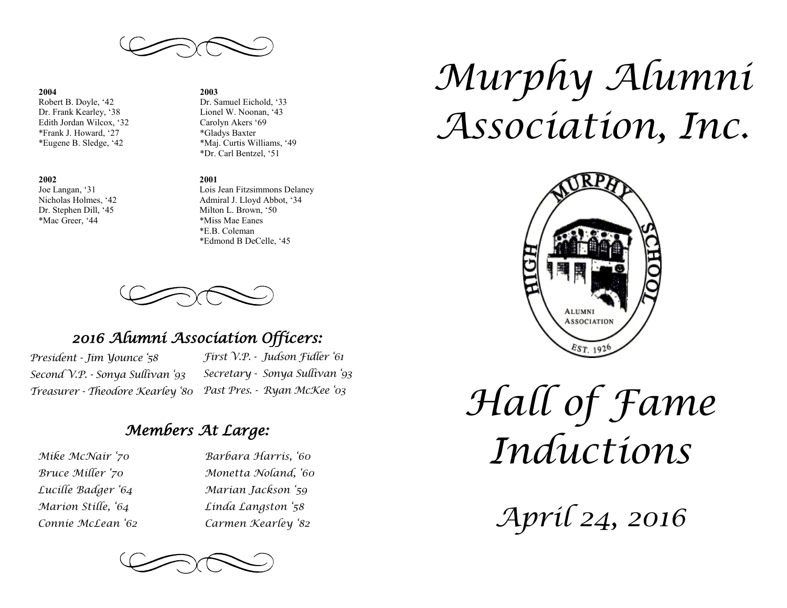

#### **2004**

Robert B. Doyle, '42 Dr. Frank Kearley, '38 Edith Jordan Wilcox, '32 \*Frank J. Howard, '27 \*Eugene B. Sledge, '42

#### **2002**

Joe Langan, '31 Nicholas Holmes, '42 Dr. Stephen Dill, '45 \*Mac Greer, '44

#### **2003**

Dr. Samuel Eichold, '33 Lionel W. Noonan, '43 Carolyn Akers '69 \*Gladys Baxter \*Maj. Curtis Williams, '49 \*Dr. Carl Bentzel, '51

#### **2001**

Lois Jean Fitzsimmons Delaney Admiral J. Lloyd Abbot, '34 Milton L. Brown, '50 \*Miss Mae Eanes \*E.B. Coleman \*Edmond B DeCelle, '45

## *2016 Alumni Association Officers:*

*President - Jim Younce '58 Second V.P. - Sonya Sullivan '93 Treasurer - Theodore Kearley '80*

*First V.P. - Judson Fidler '61 Secretary - Sonya Sullivan '93 Past Pres. - Ryan McKee '03*

## *Members At Large:*

*Mike McNair '70 Bruce Miller '70 Lucille Badger '64 Marion Stille, '64 Connie McLean '62* *Barbara Harris, '60 Monetta Noland, '60 Marian Jackson '59 Linda Langston '58 Carmen Kearley '82*



# *Murphy Alumni Association, Inc.*



*Hall of Fame Inductions*

*April 24, 2016*